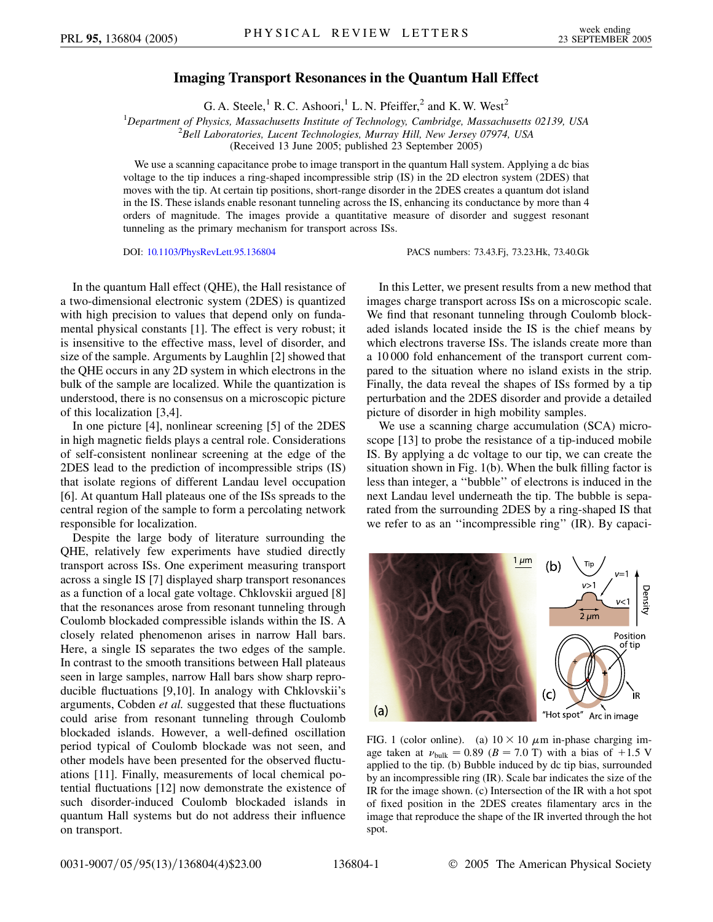## **Imaging Transport Resonances in the Quantum Hall Effect**

G. A. Steele,<sup>1</sup> R. C. Ashoori,<sup>1</sup> L. N. Pfeiffer,<sup>2</sup> and K. W. West<sup>2</sup>

<sup>1</sup>Department of Physics, Massachusetts Institute of Technology, Cambridge, Massachusetts 02139, USA<br><sup>2</sup>Bell Laboratories, Lucent Technologies, Murray Hill, New Jersey 07074, USA *Bell Laboratories, Lucent Technologies, Murray Hill, New Jersey 07974, USA*

(Received 13 June 2005; published 23 September 2005)

We use a scanning capacitance probe to image transport in the quantum Hall system. Applying a dc bias voltage to the tip induces a ring-shaped incompressible strip (IS) in the 2D electron system (2DES) that moves with the tip. At certain tip positions, short-range disorder in the 2DES creates a quantum dot island in the IS. These islands enable resonant tunneling across the IS, enhancing its conductance by more than 4 orders of magnitude. The images provide a quantitative measure of disorder and suggest resonant tunneling as the primary mechanism for transport across ISs.

DOI: [10.1103/PhysRevLett.95.136804](http://dx.doi.org/10.1103/PhysRevLett.95.136804) PACS numbers: 73.43.Fj, 73.23.Hk, 73.40.Gk

In the quantum Hall effect (QHE), the Hall resistance of a two-dimensional electronic system (2DES) is quantized with high precision to values that depend only on fundamental physical constants [1]. The effect is very robust; it is insensitive to the effective mass, level of disorder, and size of the sample. Arguments by Laughlin [2] showed that the QHE occurs in any 2D system in which electrons in the bulk of the sample are localized. While the quantization is understood, there is no consensus on a microscopic picture of this localization [3,4].

In one picture [4], nonlinear screening [5] of the 2DES in high magnetic fields plays a central role. Considerations of self-consistent nonlinear screening at the edge of the 2DES lead to the prediction of incompressible strips (IS) that isolate regions of different Landau level occupation [6]. At quantum Hall plateaus one of the ISs spreads to the central region of the sample to form a percolating network responsible for localization.

Despite the large body of literature surrounding the QHE, relatively few experiments have studied directly transport across ISs. One experiment measuring transport across a single IS [7] displayed sharp transport resonances as a function of a local gate voltage. Chklovskii argued [8] that the resonances arose from resonant tunneling through Coulomb blockaded compressible islands within the IS. A closely related phenomenon arises in narrow Hall bars. Here, a single IS separates the two edges of the sample. In contrast to the smooth transitions between Hall plateaus seen in large samples, narrow Hall bars show sharp reproducible fluctuations [9,10]. In analogy with Chklovskii's arguments, Cobden *et al.* suggested that these fluctuations could arise from resonant tunneling through Coulomb blockaded islands. However, a well-defined oscillation period typical of Coulomb blockade was not seen, and other models have been presented for the observed fluctuations [11]. Finally, measurements of local chemical potential fluctuations [12] now demonstrate the existence of such disorder-induced Coulomb blockaded islands in quantum Hall systems but do not address their influence on transport.

In this Letter, we present results from a new method that images charge transport across ISs on a microscopic scale. We find that resonant tunneling through Coulomb blockaded islands located inside the IS is the chief means by which electrons traverse ISs. The islands create more than a 10 000 fold enhancement of the transport current compared to the situation where no island exists in the strip. Finally, the data reveal the shapes of ISs formed by a tip perturbation and the 2DES disorder and provide a detailed picture of disorder in high mobility samples.

We use a scanning charge accumulation (SCA) microscope [13] to probe the resistance of a tip-induced mobile IS. By applying a dc voltage to our tip, we can create the situation shown in Fig. 1(b). When the bulk filling factor is less than integer, a ''bubble'' of electrons is induced in the next Landau level underneath the tip. The bubble is separated from the surrounding 2DES by a ring-shaped IS that we refer to as an ''incompressible ring'' (IR). By capaci-



FIG. 1 (color online). (a)  $10 \times 10 \mu$ m in-phase charging image taken at  $\nu_{\text{bulk}} = 0.89$  ( $B = 7.0$  T) with a bias of  $+1.5$  V applied to the tip. (b) Bubble induced by dc tip bias, surrounded by an incompressible ring (IR). Scale bar indicates the size of the IR for the image shown. (c) Intersection of the IR with a hot spot of fixed position in the 2DES creates filamentary arcs in the image that reproduce the shape of the IR inverted through the hot spot.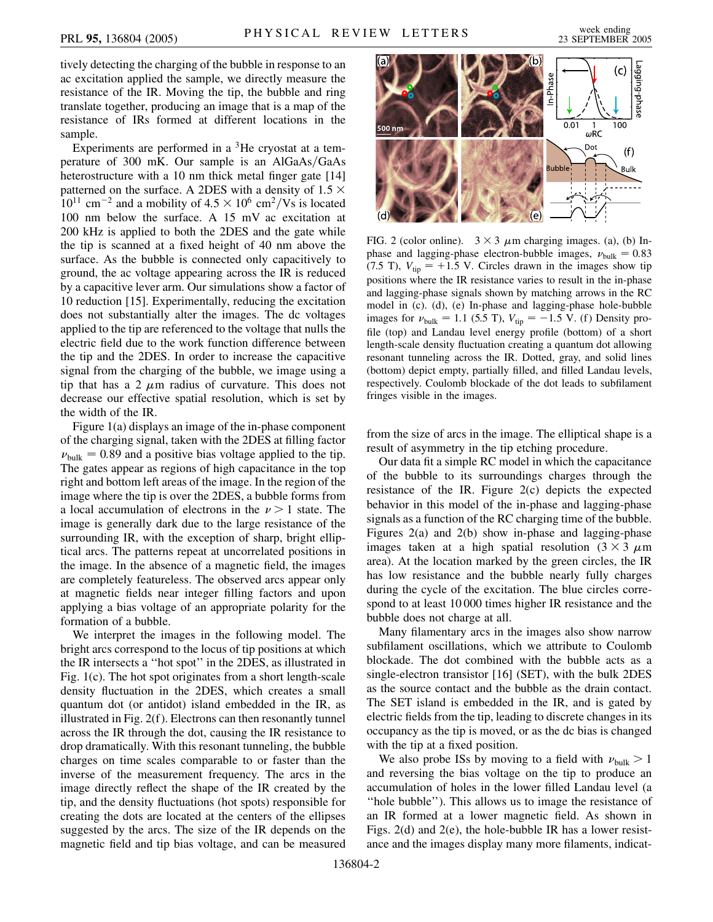tively detecting the charging of the bubble in response to an ac excitation applied the sample, we directly measure the resistance of the IR. Moving the tip, the bubble and ring translate together, producing an image that is a map of the resistance of IRs formed at different locations in the sample.

Experiments are performed in a  ${}^{3}$ He cryostat at a temperature of 300 mK. Our sample is an AlGaAs/GaAs heterostructure with a 10 nm thick metal finger gate [14] patterned on the surface. A 2DES with a density of  $1.5 \times$  $10^{11}$  cm<sup>-2</sup> and a mobility of  $4.5 \times 10^6$  cm<sup>2</sup>/Vs is located 100 nm below the surface. A 15 mV ac excitation at 200 kHz is applied to both the 2DES and the gate while the tip is scanned at a fixed height of 40 nm above the surface. As the bubble is connected only capacitively to ground, the ac voltage appearing across the IR is reduced by a capacitive lever arm. Our simulations show a factor of 10 reduction [15]. Experimentally, reducing the excitation does not substantially alter the images. The dc voltages applied to the tip are referenced to the voltage that nulls the electric field due to the work function difference between the tip and the 2DES. In order to increase the capacitive signal from the charging of the bubble, we image using a tip that has a 2  $\mu$ m radius of curvature. This does not decrease our effective spatial resolution, which is set by the width of the IR.

Figure 1(a) displays an image of the in-phase component of the charging signal, taken with the 2DES at filling factor  $\nu_{\text{bulk}} = 0.89$  and a positive bias voltage applied to the tip. The gates appear as regions of high capacitance in the top right and bottom left areas of the image. In the region of the image where the tip is over the 2DES, a bubble forms from a local accumulation of electrons in the  $\nu > 1$  state. The image is generally dark due to the large resistance of the surrounding IR, with the exception of sharp, bright elliptical arcs. The patterns repeat at uncorrelated positions in the image. In the absence of a magnetic field, the images are completely featureless. The observed arcs appear only at magnetic fields near integer filling factors and upon applying a bias voltage of an appropriate polarity for the formation of a bubble.

We interpret the images in the following model. The bright arcs correspond to the locus of tip positions at which the IR intersects a ''hot spot'' in the 2DES, as illustrated in Fig. 1(c). The hot spot originates from a short length-scale density fluctuation in the 2DES, which creates a small quantum dot (or antidot) island embedded in the IR, as illustrated in Fig. 2(f ). Electrons can then resonantly tunnel across the IR through the dot, causing the IR resistance to drop dramatically. With this resonant tunneling, the bubble charges on time scales comparable to or faster than the inverse of the measurement frequency. The arcs in the image directly reflect the shape of the IR created by the tip, and the density fluctuations (hot spots) responsible for creating the dots are located at the centers of the ellipses suggested by the arcs. The size of the IR depends on the magnetic field and tip bias voltage, and can be measured



FIG. 2 (color online).  $3 \times 3$   $\mu$ m charging images. (a), (b) Inphase and lagging-phase electron-bubble images,  $\nu_{\text{bulk}} = 0.83$  $(7.5 \text{ T})$ ,  $V_{\text{tip}} = +1.5 \text{ V}$ . Circles drawn in the images show tip positions where the IR resistance varies to result in the in-phase and lagging-phase signals shown by matching arrows in the RC model in (c). (d), (e) In-phase and lagging-phase hole-bubble images for  $\nu_{\text{bulk}} = 1.1$  (5.5 T),  $V_{\text{tip}} = -1.5$  V. (f) Density profile (top) and Landau level energy profile (bottom) of a short length-scale density fluctuation creating a quantum dot allowing resonant tunneling across the IR. Dotted, gray, and solid lines (bottom) depict empty, partially filled, and filled Landau levels, respectively. Coulomb blockade of the dot leads to subfilament fringes visible in the images.

from the size of arcs in the image. The elliptical shape is a result of asymmetry in the tip etching procedure.

Our data fit a simple RC model in which the capacitance of the bubble to its surroundings charges through the resistance of the IR. Figure 2(c) depicts the expected behavior in this model of the in-phase and lagging-phase signals as a function of the RC charging time of the bubble. Figures 2(a) and 2(b) show in-phase and lagging-phase images taken at a high spatial resolution  $(3 \times 3 \mu m)$ area). At the location marked by the green circles, the IR has low resistance and the bubble nearly fully charges during the cycle of the excitation. The blue circles correspond to at least 10 000 times higher IR resistance and the bubble does not charge at all.

Many filamentary arcs in the images also show narrow subfilament oscillations, which we attribute to Coulomb blockade. The dot combined with the bubble acts as a single-electron transistor [16] (SET), with the bulk 2DES as the source contact and the bubble as the drain contact. The SET island is embedded in the IR, and is gated by electric fields from the tip, leading to discrete changes in its occupancy as the tip is moved, or as the dc bias is changed with the tip at a fixed position.

We also probe ISs by moving to a field with  $\nu_{\text{bulk}} > 1$ and reversing the bias voltage on the tip to produce an accumulation of holes in the lower filled Landau level (a ''hole bubble''). This allows us to image the resistance of an IR formed at a lower magnetic field. As shown in Figs. 2(d) and 2(e), the hole-bubble IR has a lower resistance and the images display many more filaments, indicat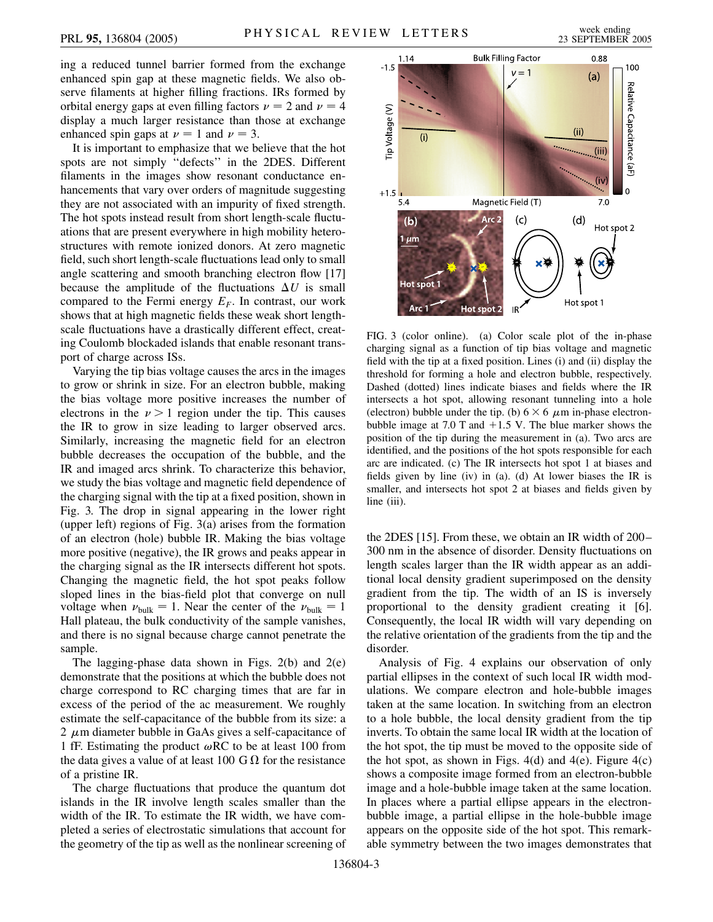ing a reduced tunnel barrier formed from the exchange enhanced spin gap at these magnetic fields. We also observe filaments at higher filling fractions. IRs formed by orbital energy gaps at even filling factors  $\nu = 2$  and  $\nu = 4$ display a much larger resistance than those at exchange enhanced spin gaps at  $\nu = 1$  and  $\nu = 3$ .

It is important to emphasize that we believe that the hot spots are not simply ''defects'' in the 2DES. Different filaments in the images show resonant conductance enhancements that vary over orders of magnitude suggesting they are not associated with an impurity of fixed strength. The hot spots instead result from short length-scale fluctuations that are present everywhere in high mobility heterostructures with remote ionized donors. At zero magnetic field, such short length-scale fluctuations lead only to small angle scattering and smooth branching electron flow [17] because the amplitude of the fluctuations  $\Delta U$  is small compared to the Fermi energy  $E_F$ . In contrast, our work shows that at high magnetic fields these weak short lengthscale fluctuations have a drastically different effect, creating Coulomb blockaded islands that enable resonant transport of charge across ISs.

Varying the tip bias voltage causes the arcs in the images to grow or shrink in size. For an electron bubble, making the bias voltage more positive increases the number of electrons in the  $\nu > 1$  region under the tip. This causes the IR to grow in size leading to larger observed arcs. Similarly, increasing the magnetic field for an electron bubble decreases the occupation of the bubble, and the IR and imaged arcs shrink. To characterize this behavior, we study the bias voltage and magnetic field dependence of the charging signal with the tip at a fixed position, shown in Fig. 3. The drop in signal appearing in the lower right (upper left) regions of Fig.  $3(a)$  arises from the formation of an electron (hole) bubble IR. Making the bias voltage more positive (negative), the IR grows and peaks appear in the charging signal as the IR intersects different hot spots. Changing the magnetic field, the hot spot peaks follow sloped lines in the bias-field plot that converge on null voltage when  $\nu_{\text{bulk}} = 1$ . Near the center of the  $\nu_{\text{bulk}} = 1$ Hall plateau, the bulk conductivity of the sample vanishes, and there is no signal because charge cannot penetrate the sample.

The lagging-phase data shown in Figs. 2(b) and 2(e) demonstrate that the positions at which the bubble does not charge correspond to RC charging times that are far in excess of the period of the ac measurement. We roughly estimate the self-capacitance of the bubble from its size: a 2  $\mu$ m diameter bubble in GaAs gives a self-capacitance of 1 fF. Estimating the product  $\omega RC$  to be at least 100 from the data gives a value of at least 100 G  $\Omega$  for the resistance of a pristine IR.

The charge fluctuations that produce the quantum dot islands in the IR involve length scales smaller than the width of the IR. To estimate the IR width, we have completed a series of electrostatic simulations that account for the geometry of the tip as well as the nonlinear screening of



FIG. 3 (color online). (a) Color scale plot of the in-phase charging signal as a function of tip bias voltage and magnetic field with the tip at a fixed position. Lines (i) and (ii) display the threshold for forming a hole and electron bubble, respectively. Dashed (dotted) lines indicate biases and fields where the IR intersects a hot spot, allowing resonant tunneling into a hole (electron) bubble under the tip. (b)  $6 \times 6$   $\mu$ m in-phase electronbubble image at 7.0 T and  $+1.5$  V. The blue marker shows the position of the tip during the measurement in (a). Two arcs are identified, and the positions of the hot spots responsible for each arc are indicated. (c) The IR intersects hot spot 1 at biases and fields given by line (iv) in (a). (d) At lower biases the IR is smaller, and intersects hot spot 2 at biases and fields given by line (iii).

the 2DES [15]. From these, we obtain an IR width of 200– 300 nm in the absence of disorder. Density fluctuations on length scales larger than the IR width appear as an additional local density gradient superimposed on the density gradient from the tip. The width of an IS is inversely proportional to the density gradient creating it [6]. Consequently, the local IR width will vary depending on the relative orientation of the gradients from the tip and the disorder.

Analysis of Fig. 4 explains our observation of only partial ellipses in the context of such local IR width modulations. We compare electron and hole-bubble images taken at the same location. In switching from an electron to a hole bubble, the local density gradient from the tip inverts. To obtain the same local IR width at the location of the hot spot, the tip must be moved to the opposite side of the hot spot, as shown in Figs.  $4(d)$  and  $4(e)$ . Figure  $4(c)$ shows a composite image formed from an electron-bubble image and a hole-bubble image taken at the same location. In places where a partial ellipse appears in the electronbubble image, a partial ellipse in the hole-bubble image appears on the opposite side of the hot spot. This remarkable symmetry between the two images demonstrates that